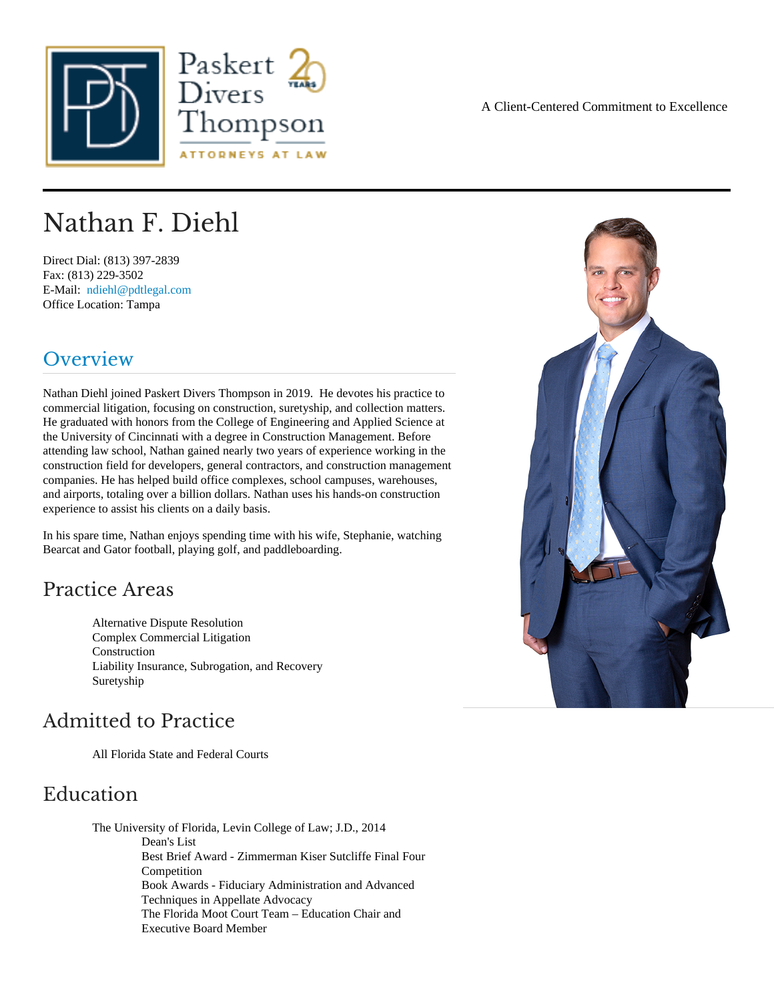## Nathan F. Diehl

Direct Dial: (813) 397-2839 Fax: (813) 229-3502 E-Mail: [ndiehl@pdtlegal.com](mailto:ndiehl@pdtlegal.com ) Office Location: Tampa

#### Overview

Nathan Diehl joined Paskert Divers Thompson in 2019. He devotes his practice to commercial litigation, focusing on construction, suretyship, and collection matters. He graduated with honors from the College of Engineering and Applied Science at the University of Cincinnati with a degree in Construction Management. Before attending law school, Nathan gained nearly two years of experience working in the construction field for developers, general contractors, and construction management companies. He has helped build office complexes, school campuses, warehouses, and airports, totaling over a billion dollars. Nathan uses his hands-on construction experience to assist his clients on a daily basis.

In his spare time, Nathan enjoys spending time with his wife, Stephanie, watching Bearcat and Gator football, playing golf, and paddleboarding.

#### Practice Areas

Alternative Dispute Resolution Complex Commercial Litigation **Construction** Liability Insurance, Subrogation, and Recovery **Suretyship** 

#### Admitted to Practice

All Florida State and Federal Courts

#### Education

The University of Florida, Levin College of Law; J.D., 2014 Dean's List Best Brief Award - Zimmerman Kiser Sutcliffe Final Four **Competition** Book Awards - Fiduciary Administration and Advanced Techniques in Appellate Advocacy The Florida Moot Court Team – Education Chair and Executive Board Member